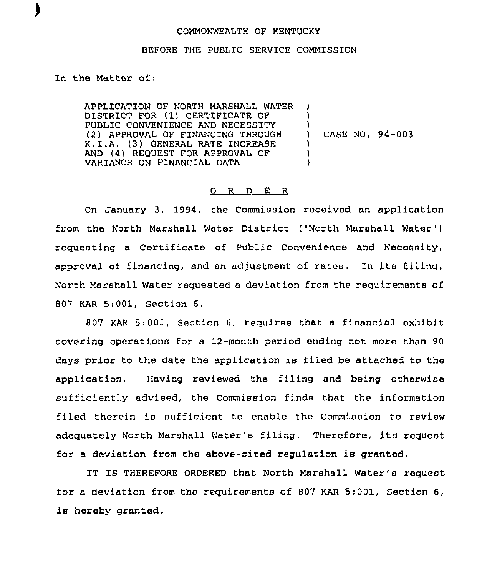## COMMONWEALTH OF KENTUCKY

## BEFORE THE PUBLIC SERVICE COMMISSION

In the Matter of:

APPLICATION OF NORTH MARSHALL WATER ) DISTRICT FOR (1) CERTIFICATE OF PUBLIC CONVENIENCE AND NECESSITY (2) APPROVAL OF FINANCING THROUGH K.I.A. (3) GENERAL RATE INCREASE AND (4) REQUEST FOR APPROVAL OF VARIANCE ON FINANCIAL DATA 'I ,<br>) CASE NO. 94-003 ) )<br>)

## 0 R <sup>D</sup> E R

On January 3, 1994, the Commission received an application from the North Marshall Water District ("North Marshall Water" ) requesting a Certificate of Public Convenience and Necessity, approval of financing, and an adjustment of rates. In its filing, North Marshall Water requested a deviation from the requirements of 807 KAR 5;001, Section 6.

807 KAR 5:001, Section 6, requires that a financial exhibit covering operations for a 12-month period ending not more thon 90 days prior to the date the application is filed be attached to the application, Having reviewed the filing and being otherwise sufficiently advised, the Commission finds that the information filed therein is sufficient to enable the Commission to review adequately North Marshall Water's filing, Therefore, its request for a deviation from the above-cited regulation is granted,

IT IS THEREFORE ORDERED that North Marshall Water''s request for a deviation from the requirements of 807 KAR 5:001, Section 6, is hereby granted,